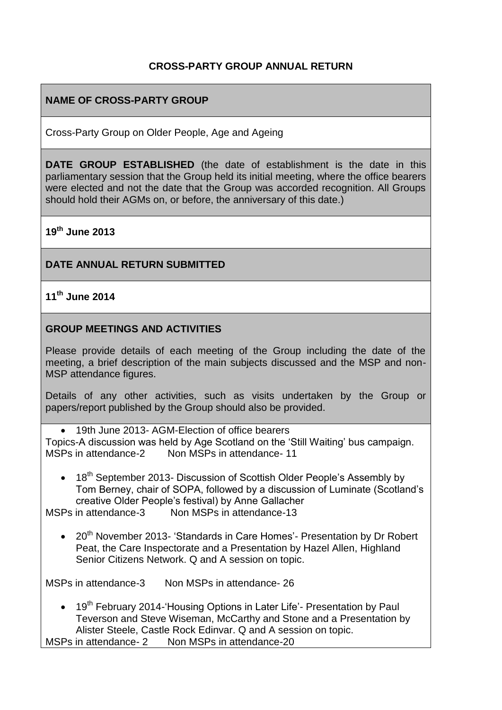## **CROSS-PARTY GROUP ANNUAL RETURN**

## **NAME OF CROSS-PARTY GROUP**

Cross-Party Group on Older People, Age and Ageing

**DATE GROUP ESTABLISHED** (the date of establishment is the date in this parliamentary session that the Group held its initial meeting, where the office bearers were elected and not the date that the Group was accorded recognition. All Groups should hold their AGMs on, or before, the anniversary of this date.)

**19th June 2013**

#### **DATE ANNUAL RETURN SUBMITTED**

# **11th June 2014**

#### **GROUP MEETINGS AND ACTIVITIES**

Please provide details of each meeting of the Group including the date of the meeting, a brief description of the main subjects discussed and the MSP and non-MSP attendance figures.

Details of any other activities, such as visits undertaken by the Group or papers/report published by the Group should also be provided.

 19th June 2013- AGM-Election of office bearers Topics-A discussion was held by Age Scotland on the 'Still Waiting' bus campaign. MSPs in attendance-2 Non MSPs in attendance- 11

• 18<sup>th</sup> September 2013- Discussion of Scottish Older People's Assembly by Tom Berney, chair of SOPA, followed by a discussion of Luminate (Scotland's creative Older People's festival) by Anne Gallacher

MSPs in attendance-3 Non MSPs in attendance-13

• 20<sup>th</sup> November 2013- 'Standards in Care Homes'- Presentation by Dr Robert Peat, the Care Inspectorate and a Presentation by Hazel Allen, Highland Senior Citizens Network. Q and A session on topic.

MSPs in attendance-3 Non MSPs in attendance- 26

• 19<sup>th</sup> February 2014-'Housing Options in Later Life'- Presentation by Paul Teverson and Steve Wiseman, McCarthy and Stone and a Presentation by Alister Steele, Castle Rock Edinvar. Q and A session on topic.

MSPs in attendance- 2 Non MSPs in attendance-20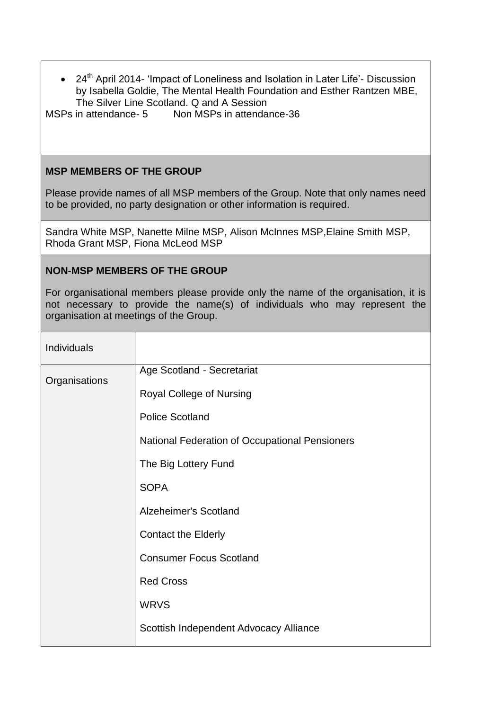• 24<sup>th</sup> April 2014- 'Impact of Loneliness and Isolation in Later Life'- Discussion by Isabella Goldie, The Mental Health Foundation and Esther Rantzen MBE, The Silver Line Scotland. Q and A Session

MSPs in attendance- 5 Non MSPs in attendance-36

## **MSP MEMBERS OF THE GROUP**

Please provide names of all MSP members of the Group. Note that only names need to be provided, no party designation or other information is required.

Sandra White MSP, Nanette Milne MSP, Alison McInnes MSP,Elaine Smith MSP, Rhoda Grant MSP, Fiona McLeod MSP

### **NON-MSP MEMBERS OF THE GROUP**

For organisational members please provide only the name of the organisation, it is not necessary to provide the name(s) of individuals who may represent the organisation at meetings of the Group.

| Individuals   |                                                |
|---------------|------------------------------------------------|
| Organisations | Age Scotland - Secretariat                     |
|               | Royal College of Nursing                       |
|               | <b>Police Scotland</b>                         |
|               | National Federation of Occupational Pensioners |
|               | The Big Lottery Fund                           |
|               | <b>SOPA</b>                                    |
|               | Alzeheimer's Scotland                          |
|               | <b>Contact the Elderly</b>                     |
|               | <b>Consumer Focus Scotland</b>                 |
|               | <b>Red Cross</b>                               |
|               | <b>WRVS</b>                                    |
|               | Scottish Independent Advocacy Alliance         |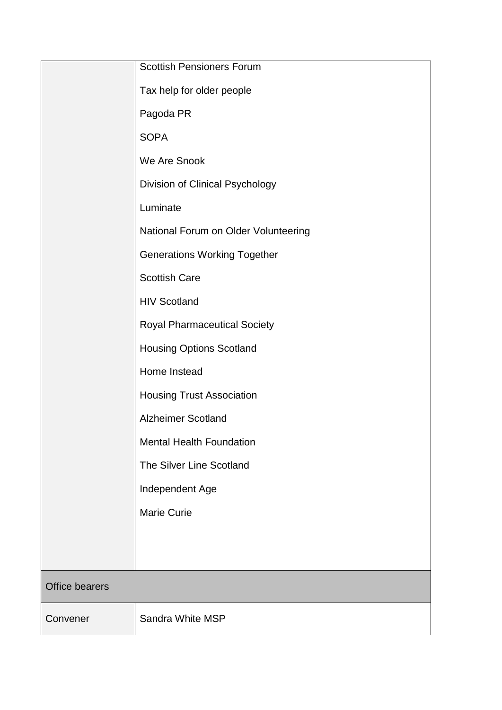|                | <b>Scottish Pensioners Forum</b>     |  |
|----------------|--------------------------------------|--|
|                | Tax help for older people            |  |
|                | Pagoda PR                            |  |
|                | <b>SOPA</b>                          |  |
|                | We Are Snook                         |  |
|                | Division of Clinical Psychology      |  |
|                | Luminate                             |  |
|                | National Forum on Older Volunteering |  |
|                | <b>Generations Working Together</b>  |  |
|                | <b>Scottish Care</b>                 |  |
|                | <b>HIV Scotland</b>                  |  |
|                | <b>Royal Pharmaceutical Society</b>  |  |
|                | <b>Housing Options Scotland</b>      |  |
|                | Home Instead                         |  |
|                | <b>Housing Trust Association</b>     |  |
|                | <b>Alzheimer Scotland</b>            |  |
|                | <b>Mental Health Foundation</b>      |  |
|                | The Silver Line Scotland             |  |
|                | Independent Age                      |  |
|                | <b>Marie Curie</b>                   |  |
|                |                                      |  |
|                |                                      |  |
| Office bearers |                                      |  |
| Convener       | Sandra White MSP                     |  |